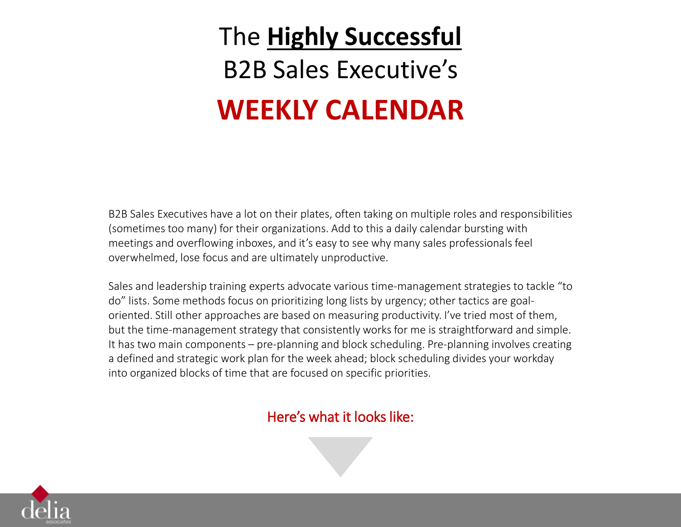# The **Highly Successful**  B2B Sales Executive's **WEEKLY CALENDAR**

B2B Sales Executives have a lot on their plates, often taking on multiple roles and responsibilities (sometimes too many) for their organizations. Add to this a daily calendar bursting with meetings and overflowing inboxes, and it's easy to see why many sales professionals feel overwhelmed, lose focus and are ultimately unproductive.

Sales and leadership training experts advocate various time-management strategies to tackle "to do" lists. Some methods focus on prioritizing long lists by urgency; other tactics are goaloriented. Still other approaches are based on measuring productivity. I've tried most of them, but the time-management strategy that consistently works for me is straightforward and simple. It has two main components – pre-planning and block scheduling. Pre-planning involves creating a defined and strategic work plan for the week ahead; block scheduling divides your workday into organized blocks of time that are focused on specific priorities.

#### Here's what it looks like:

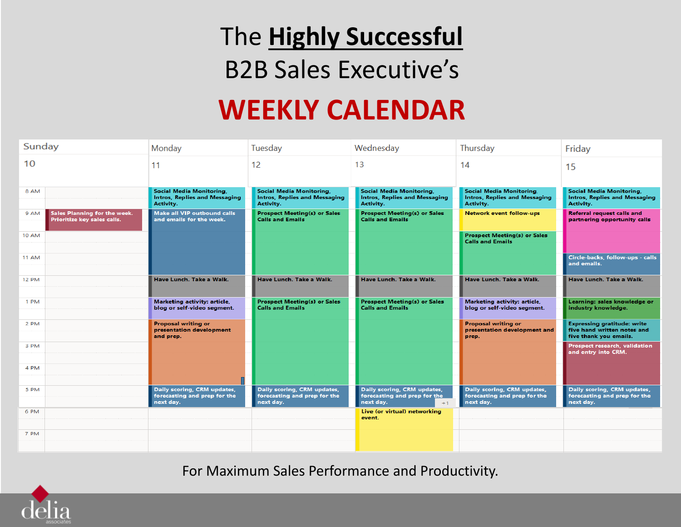### The **Highly Successful**  B2B Sales Executive's

### **WEEKLY CALENDAR**

| Sunday                                                              | Monday                                                                        | Tuesday                                                                       | Wednesday                                                                        | Thursday                                                                             | Friday                                                                                      |
|---------------------------------------------------------------------|-------------------------------------------------------------------------------|-------------------------------------------------------------------------------|----------------------------------------------------------------------------------|--------------------------------------------------------------------------------------|---------------------------------------------------------------------------------------------|
| 10                                                                  | 11                                                                            | 12                                                                            | 13                                                                               | 14                                                                                   | 15                                                                                          |
| 8 AM                                                                | Social Media Monitoring,<br><b>Intros, Replies and Messaging</b><br>Activity. | Social Media Monitoring,<br><b>Intros, Replies and Messaging</b><br>Activity. | Social Media Monitoring,<br><b>Intros, Replies and Messaging</b><br>Activity.    | <b>Social Media Monitoring,</b><br><b>Intros, Replies and Messaging</b><br>Activity. | <b>Social Media Monitoring,</b><br><b>Intros, Replies and Messaging</b><br>Activity.        |
| Sales Planning for the week.<br>9 AM<br>Prioritize key sales calls. | Make all VIP outbound calls<br>and emails for the week.                       | <b>Prospect Meeting(s) or Sales</b><br><b>Calls and Emails</b>                | <b>Prospect Meeting(s) or Sales</b><br><b>Calls and Emails</b>                   | Network event follow-ups                                                             | Referral request calls and<br>partnering opportunity calls                                  |
| <b>10 AM</b>                                                        |                                                                               |                                                                               |                                                                                  | <b>Prospect Meeting(s) or Sales</b><br><b>Calls and Emails</b>                       |                                                                                             |
| 11 AM                                                               |                                                                               |                                                                               |                                                                                  |                                                                                      | Circle-backs, follow-ups - calls<br>and emails.                                             |
| <b>12 PM</b>                                                        | Have Lunch, Take a Walk.                                                      | Have Lunch, Take a Walk.                                                      | Have Lunch, Take a Walk.                                                         | Have Lunch, Take a Walk.                                                             | Have Lunch, Take a Walk.                                                                    |
| 1 PM                                                                | Marketing activity: article,<br>blog or self-video segment.                   | <b>Prospect Meeting(s) or Sales</b><br><b>Calls and Emails</b>                | <b>Prospect Meeting(s) or Sales</b><br><b>Calls and Emails</b>                   | Marketing activity: article,<br>blog or self-video segment.                          | Learning: sales knowledge or<br>industry knowledge.                                         |
| 2 PM                                                                | <b>Proposal writing or</b><br>presentation development<br>and prep.           |                                                                               |                                                                                  | <b>Proposal writing or</b><br>presentation development and<br>prep.                  | <b>Expressing gratitude: write</b><br>five hand written notes and<br>five thank you emails. |
| 3 PM                                                                |                                                                               |                                                                               |                                                                                  |                                                                                      | Prospect research, validation<br>and entry into CRM.                                        |
| 4 PM                                                                |                                                                               |                                                                               |                                                                                  |                                                                                      |                                                                                             |
| 5 PM                                                                | Daily scoring, CRM updates,<br>forecasting and prep for the<br>next day.      | Daily scoring, CRM updates,<br>forecasting and prep for the<br>next day.      | Daily scoring, CRM updates,<br>forecasting and prep for the<br>next day.<br>$+1$ | Daily scoring, CRM updates,<br>forecasting and prep for the<br>next day.             | Daily scoring, CRM updates,<br>forecasting and prep for the<br>next day.                    |
| 6 PM                                                                |                                                                               |                                                                               | Live (or virtual) networking<br>event.                                           |                                                                                      |                                                                                             |
| 7 PM                                                                |                                                                               |                                                                               |                                                                                  |                                                                                      |                                                                                             |
|                                                                     |                                                                               |                                                                               |                                                                                  |                                                                                      |                                                                                             |

For Maximum Sales Performance and Productivity.

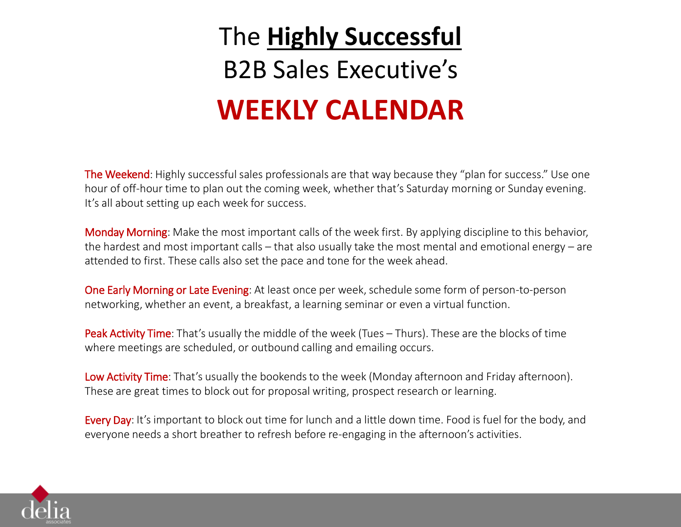# The **Highly Successful**  B2B Sales Executive's **WEEKLY CALENDAR**

The Weekend: Highly successful sales professionals are that way because they "plan for success." Use one hour of off-hour time to plan out the coming week, whether that's Saturday morning or Sunday evening. It's all about setting up each week for success.

Monday Morning: Make the most important calls of the week first. By applying discipline to this behavior, the hardest and most important calls – that also usually take the most mental and emotional energy – are attended to first. These calls also set the pace and tone for the week ahead.

One Early Morning or Late Evening: At least once per week, schedule some form of person-to-person networking, whether an event, a breakfast, a learning seminar or even a virtual function.

Peak Activity Time: That's usually the middle of the week (Tues – Thurs). These are the blocks of time where meetings are scheduled, or outbound calling and emailing occurs.

Low Activity Time: That's usually the bookends to the week (Monday afternoon and Friday afternoon). These are great times to block out for proposal writing, prospect research or learning.

Every Day: It's important to block out time for lunch and a little down time. Food is fuel for the body, and everyone needs a short breather to refresh before re-engaging in the afternoon's activities.